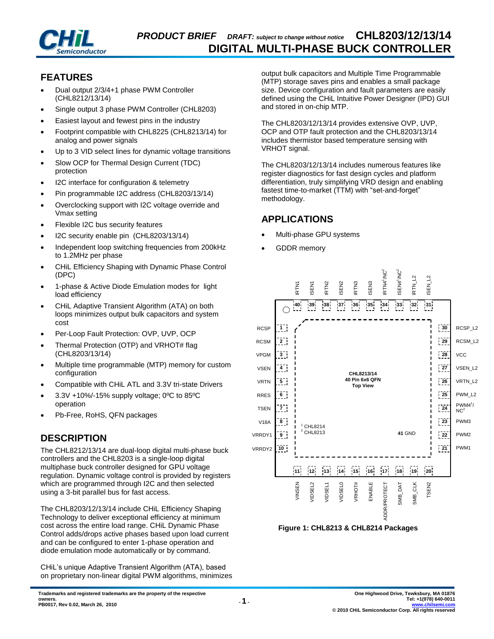

## **FEATURES**

- Dual output 2/3/4+1 phase PWM Controller (CHL8212/13/14)
- Single output 3 phase PWM Controller (CHL8203)
- Easiest layout and fewest pins in the industry
- Footprint compatible with CHL8225 (CHL8213/14) for analog and power signals
- Up to 3 VID select lines for dynamic voltage transitions
- Slow OCP for Thermal Design Current (TDC) protection
- I2C interface for configuration & telemetry
- Pin programmable I2C address (CHL8203/13/14)
- Overclocking support with I2C voltage override and Vmax setting
- Flexible I2C bus security features
- I2C security enable pin (CHL8203/13/14)
- Independent loop switching frequencies from 200kHz to 1.2MHz per phase
- CHiL Efficiency Shaping with Dynamic Phase Control (DPC)
- 1-phase & Active Diode Emulation modes for light load efficiency
- CHiL Adaptive Transient Algorithm (ATA) on both loops minimizes output bulk capacitors and system cost
- Per-Loop Fault Protection: OVP, UVP, OCP
- Thermal Protection (OTP) and VRHOT# flag (CHL8203/13/14)
- Multiple time programmable (MTP) memory for custom configuration
- Compatible with CHiL ATL and 3.3V tri-state Drivers
- 3.3V +10%/-15% supply voltage; 0ºC to 85ºC operation
- Pb-Free, RoHS, QFN packages

## **DESCRIPTION**

The CHL8212/13/14 are dual-loop digital multi-phase buck controllers and the CHL8203 is a single-loop digital multiphase buck controller designed for GPU voltage regulation. Dynamic voltage control is provided by registers which are programmed through I2C and then selected using a 3-bit parallel bus for fast access.

The CHL8203/12/13/14 include CHiL Efficiency Shaping Technology to deliver exceptional efficiency at minimum cost across the entire load range. CHiL Dynamic Phase Control adds/drops active phases based upon load current and can be configured to enter 1-phase operation and diode emulation mode automatically or by command.

CHiL's unique Adaptive Transient Algorithm (ATA), based on proprietary non-linear digital PWM algorithms, minimizes output bulk capacitors and Multiple Time Programmable (MTP) storage saves pins and enables a small package size. Device configuration and fault parameters are easily defined using the CHiL Intuitive Power Designer (IPD) GUI and stored in on-chip MTP.

The CHL8203/12/13/14 provides extensive OVP, UVP, OCP and OTP fault protection and the CHL8203/13/14 includes thermistor based temperature sensing with VRHOT signal.

The CHL8203/12/13/14 includes numerous features like register diagnostics for fast design cycles and platform differentiation, truly simplifying VRD design and enabling fastest time-to-market (TTM) with "set-and-forget" methodology.

## **APPLICATIONS**

- Multi-phase GPU systems
- GDDR memory



**Figure 1: CHL8213 & CHL8214 Packages**